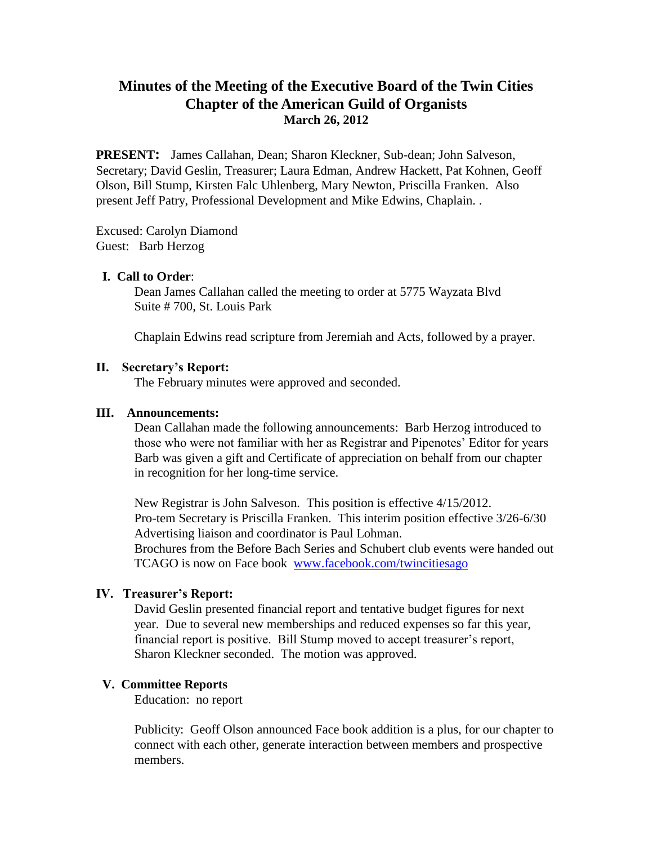# **Minutes of the Meeting of the Executive Board of the Twin Cities Chapter of the American Guild of Organists March 26, 2012**

**PRESENT:** James Callahan, Dean; Sharon Kleckner, Sub-dean; John Salveson, Secretary; David Geslin, Treasurer; Laura Edman, Andrew Hackett, Pat Kohnen, Geoff Olson, Bill Stump, Kirsten Falc Uhlenberg, Mary Newton, Priscilla Franken. Also present Jeff Patry, Professional Development and Mike Edwins, Chaplain. .

Excused: Carolyn Diamond Guest: Barb Herzog

## **I. Call to Order**:

Dean James Callahan called the meeting to order at 5775 Wayzata Blvd Suite # 700, St. Louis Park

Chaplain Edwins read scripture from Jeremiah and Acts, followed by a prayer.

## **II. Secretary's Report:**

The February minutes were approved and seconded.

### **III. Announcements:**

Dean Callahan made the following announcements: Barb Herzog introduced to those who were not familiar with her as Registrar and Pipenotes' Editor for years Barb was given a gift and Certificate of appreciation on behalf from our chapter in recognition for her long-time service.

New Registrar is John Salveson. This position is effective 4/15/2012. Pro-tem Secretary is Priscilla Franken. This interim position effective 3/26-6/30 Advertising liaison and coordinator is Paul Lohman. Brochures from the Before Bach Series and Schubert club events were handed out TCAGO is now on Face book www.facebook.com/twincitiesago

# **IV. Treasurer's Report:**

David Geslin presented financial report and tentative budget figures for next year. Due to several new memberships and reduced expenses so far this year, financial report is positive. Bill Stump moved to accept treasurer's report, Sharon Kleckner seconded. The motion was approved.

# **V. Committee Reports**

Education: no report

Publicity: Geoff Olson announced Face book addition is a plus, for our chapter to connect with each other, generate interaction between members and prospective members.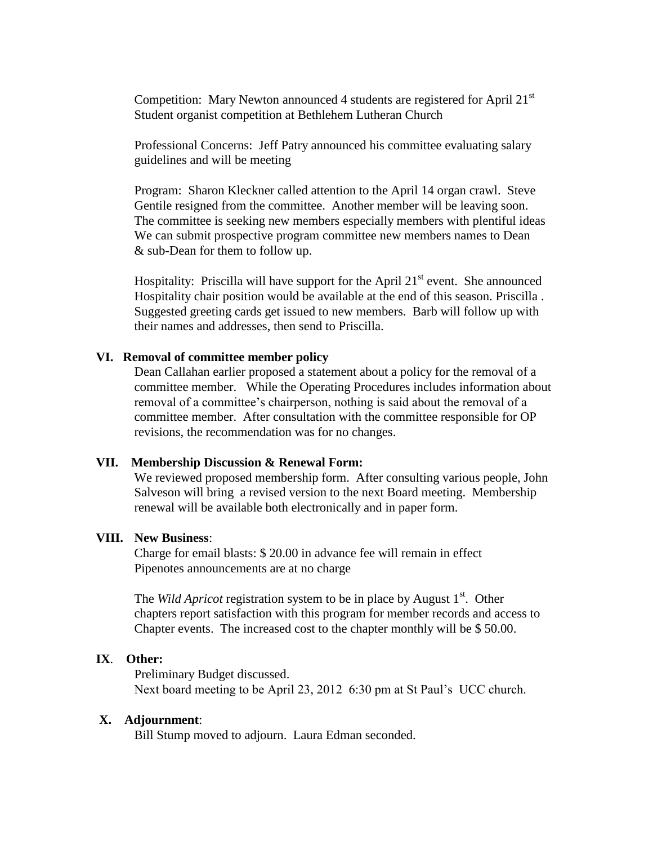Competition: Mary Newton announced 4 students are registered for April  $21<sup>st</sup>$ Student organist competition at Bethlehem Lutheran Church

Professional Concerns: Jeff Patry announced his committee evaluating salary guidelines and will be meeting

Program: Sharon Kleckner called attention to the April 14 organ crawl. Steve Gentile resigned from the committee. Another member will be leaving soon. The committee is seeking new members especially members with plentiful ideas We can submit prospective program committee new members names to Dean & sub-Dean for them to follow up.

Hospitality: Priscilla will have support for the April  $21<sup>st</sup>$  event. She announced Hospitality chair position would be available at the end of this season. Priscilla . Suggested greeting cards get issued to new members. Barb will follow up with their names and addresses, then send to Priscilla.

### **VI. Removal of committee member policy**

Dean Callahan earlier proposed a statement about a policy for the removal of a committee member. While the Operating Procedures includes information about removal of a committee's chairperson, nothing is said about the removal of a committee member. After consultation with the committee responsible for OP revisions, the recommendation was for no changes.

#### **VII. Membership Discussion & Renewal Form:**

We reviewed proposed membership form. After consulting various people, John Salveson will bring a revised version to the next Board meeting. Membership renewal will be available both electronically and in paper form.

#### **VIII. New Business**:

Charge for email blasts: \$ 20.00 in advance fee will remain in effect Pipenotes announcements are at no charge

The *Wild Apricot* registration system to be in place by August 1<sup>st</sup>. Other chapters report satisfaction with this program for member records and access to Chapter events. The increased cost to the chapter monthly will be \$ 50.00.

# **IX**. **Other:**

Preliminary Budget discussed. Next board meeting to be April 23, 2012 6:30 pm at St Paul's UCC church.

#### **X. Adjournment**:

Bill Stump moved to adjourn. Laura Edman seconded.